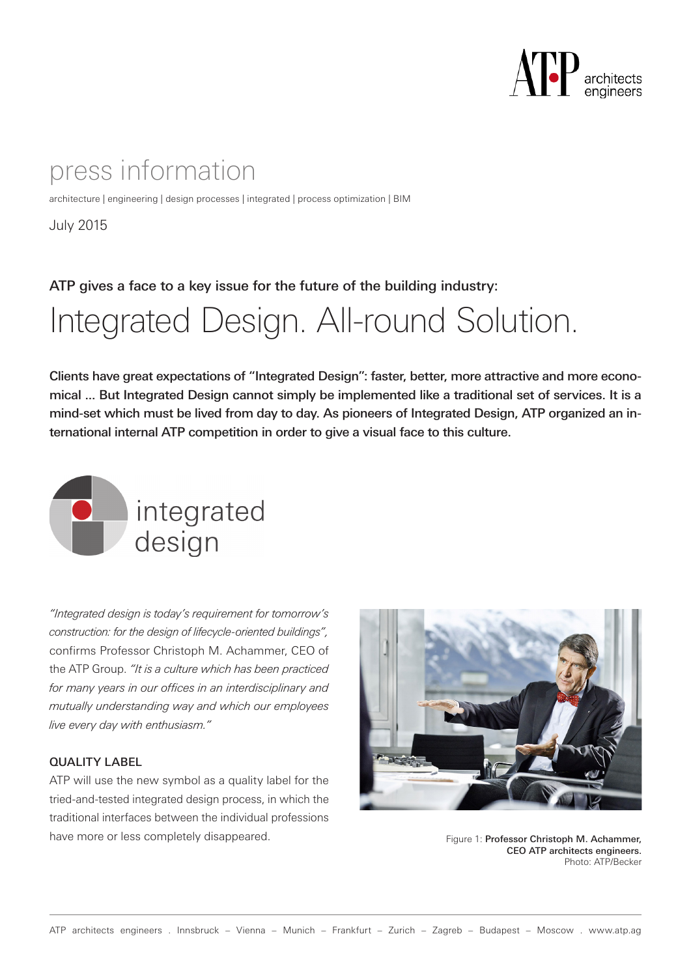

### press information

architecture | engineering | design processes | integrated | process optimization | BIM

July 2015

ATP gives a face to a key issue for the future of the building industry:

# Integrated Design. All-round Solution.

Clients have great expectations of "Integrated Design": faster, better, more attractive and more economical ... But Integrated Design cannot simply be implemented like a traditional set of services. It is a mind-set which must be lived from day to day. As pioneers of Integrated Design, ATP organized an international internal ATP competition in order to give a visual face to this culture.



*"Integrated design is today's requirement for tomorrow's construction: for the design of lifecycle-oriented buildings",* confirms Professor Christoph M. Achammer, CEO of the ATP Group. *"It is a culture which has been practiced for many years in our offices in an interdisciplinary and mutually understanding way and which our employees live every day with enthusiasm."*

#### QUALITY LABEL

ATP will use the new symbol as a quality label for the tried-and-tested integrated design process, in which the traditional interfaces between the individual professions have more or less completely disappeared. The state of the state of Figure 1: Professor Christoph M. Achammer,



CEO ATP architects engineers. Photo: ATP/Becker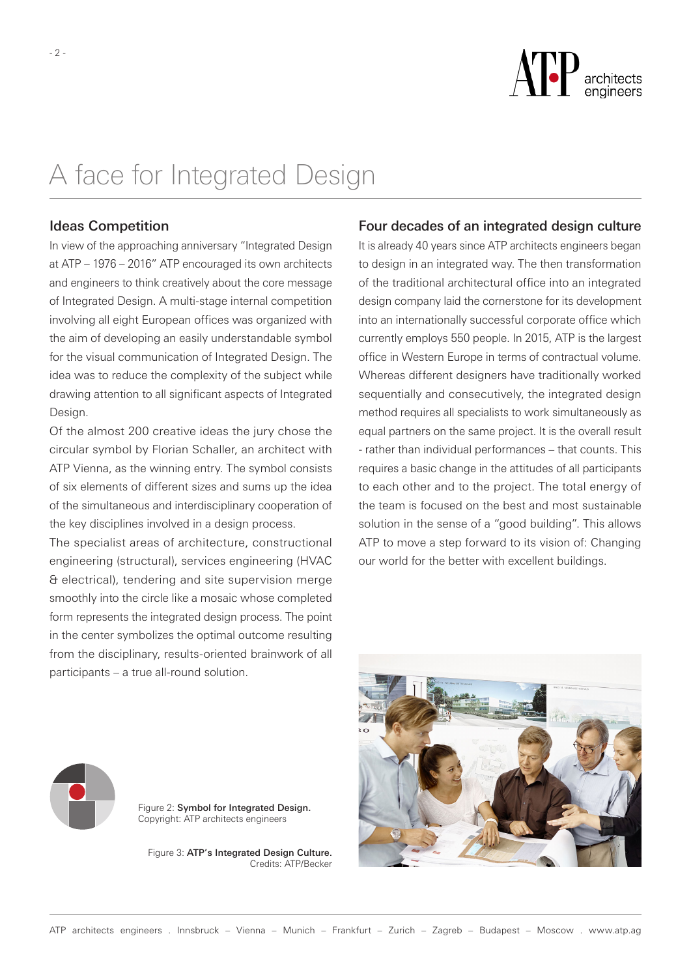

## A face for Integrated Design

#### Ideas Competition

In view of the approaching anniversary "Integrated Design at ATP – 1976 – 2016" ATP encouraged its own architects and engineers to think creatively about the core message of Integrated Design. A multi-stage internal competition involving all eight European offices was organized with the aim of developing an easily understandable symbol for the visual communication of Integrated Design. The idea was to reduce the complexity of the subject while drawing attention to all significant aspects of Integrated Design.

Of the almost 200 creative ideas the jury chose the circular symbol by Florian Schaller, an architect with ATP Vienna, as the winning entry. The symbol consists of six elements of different sizes and sums up the idea of the simultaneous and interdisciplinary cooperation of the key disciplines involved in a design process.

The specialist areas of architecture, constructional engineering (structural), services engineering (HVAC & electrical), tendering and site supervision merge smoothly into the circle like a mosaic whose completed form represents the integrated design process. The point in the center symbolizes the optimal outcome resulting from the disciplinary, results-oriented brainwork of all participants – a true all-round solution.

#### Four decades of an integrated design culture

It is already 40 years since ATP architects engineers began to design in an integrated way. The then transformation of the traditional architectural office into an integrated design company laid the cornerstone for its development into an internationally successful corporate office which currently employs 550 people. In 2015, ATP is the largest office in Western Europe in terms of contractual volume. Whereas different designers have traditionally worked sequentially and consecutively, the integrated design method requires all specialists to work simultaneously as equal partners on the same project. It is the overall result - rather than individual performances – that counts. This requires a basic change in the attitudes of all participants to each other and to the project. The total energy of the team is focused on the best and most sustainable solution in the sense of a "good building". This allows ATP to move a step forward to its vision of: Changing our world for the better with excellent buildings.





Figure 2: Symbol for Integrated Design. Copyright: ATP architects engineers

Figure 3: ATP's Integrated Design Culture. Credits: ATP/Becker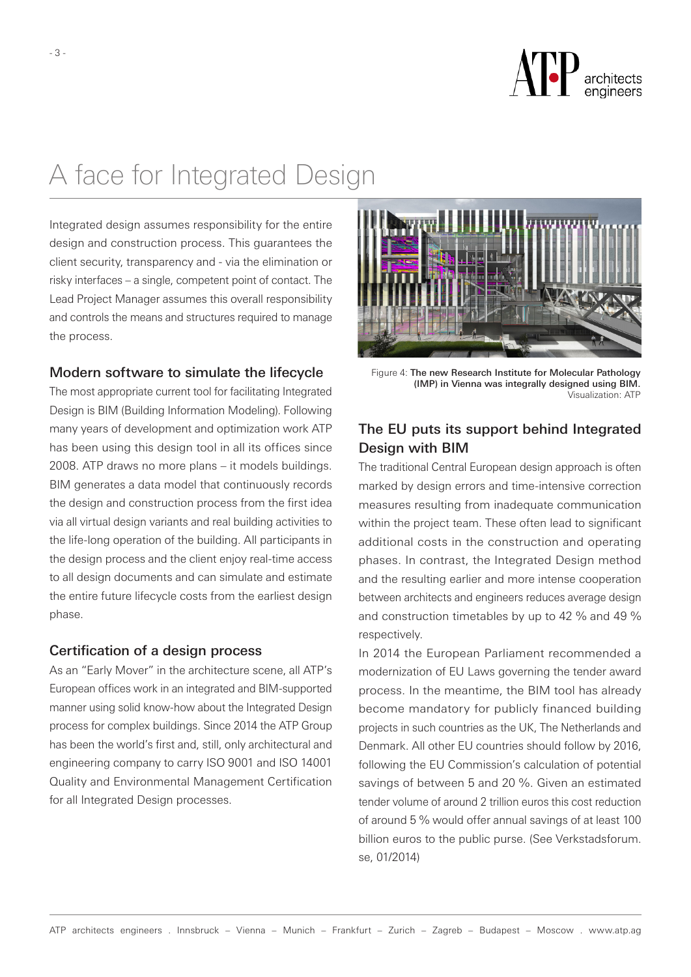

## A face for Integrated Design

Integrated design assumes responsibility for the entire design and construction process. This guarantees the client security, transparency and - via the elimination or risky interfaces – a single, competent point of contact. The Lead Project Manager assumes this overall responsibility and controls the means and structures required to manage the process.

#### Modern software to simulate the lifecycle

The most appropriate current tool for facilitating Integrated Design is BIM (Building Information Modeling). Following many years of development and optimization work ATP has been using this design tool in all its offices since 2008. ATP draws no more plans – it models buildings. BIM generates a data model that continuously records the design and construction process from the first idea via all virtual design variants and real building activities to the life-long operation of the building. All participants in the design process and the client enjoy real-time access to all design documents and can simulate and estimate the entire future lifecycle costs from the earliest design phase.

#### Certification of a design process

As an "Early Mover" in the architecture scene, all ATP's European offices work in an integrated and BIM-supported manner using solid know-how about the Integrated Design process for complex buildings. Since 2014 the ATP Group has been the world's first and, still, only architectural and engineering company to carry ISO 9001 and ISO 14001 Quality and Environmental Management Certification for all Integrated Design processes.



Figure 4: The new Research Institute for Molecular Pathology (IMP) in Vienna was integrally designed using BIM. Visualization: ATP

### The EU puts its support behind Integrated Design with BIM

The traditional Central European design approach is often marked by design errors and time-intensive correction measures resulting from inadequate communication within the project team. These often lead to significant additional costs in the construction and operating phases. In contrast, the Integrated Design method and the resulting earlier and more intense cooperation between architects and engineers reduces average design and construction timetables by up to 42 % and 49 % respectively.

In 2014 the European Parliament recommended a modernization of EU Laws governing the tender award process. In the meantime, the BIM tool has already become mandatory for publicly financed building projects in such countries as the UK, The Netherlands and Denmark. All other EU countries should follow by 2016, following the EU Commission's calculation of potential savings of between 5 and 20 %. Given an estimated tender volume of around 2 trillion euros this cost reduction of around 5 % would offer annual savings of at least 100 billion euros to the public purse. (See Verkstadsforum. se, 01/2014)